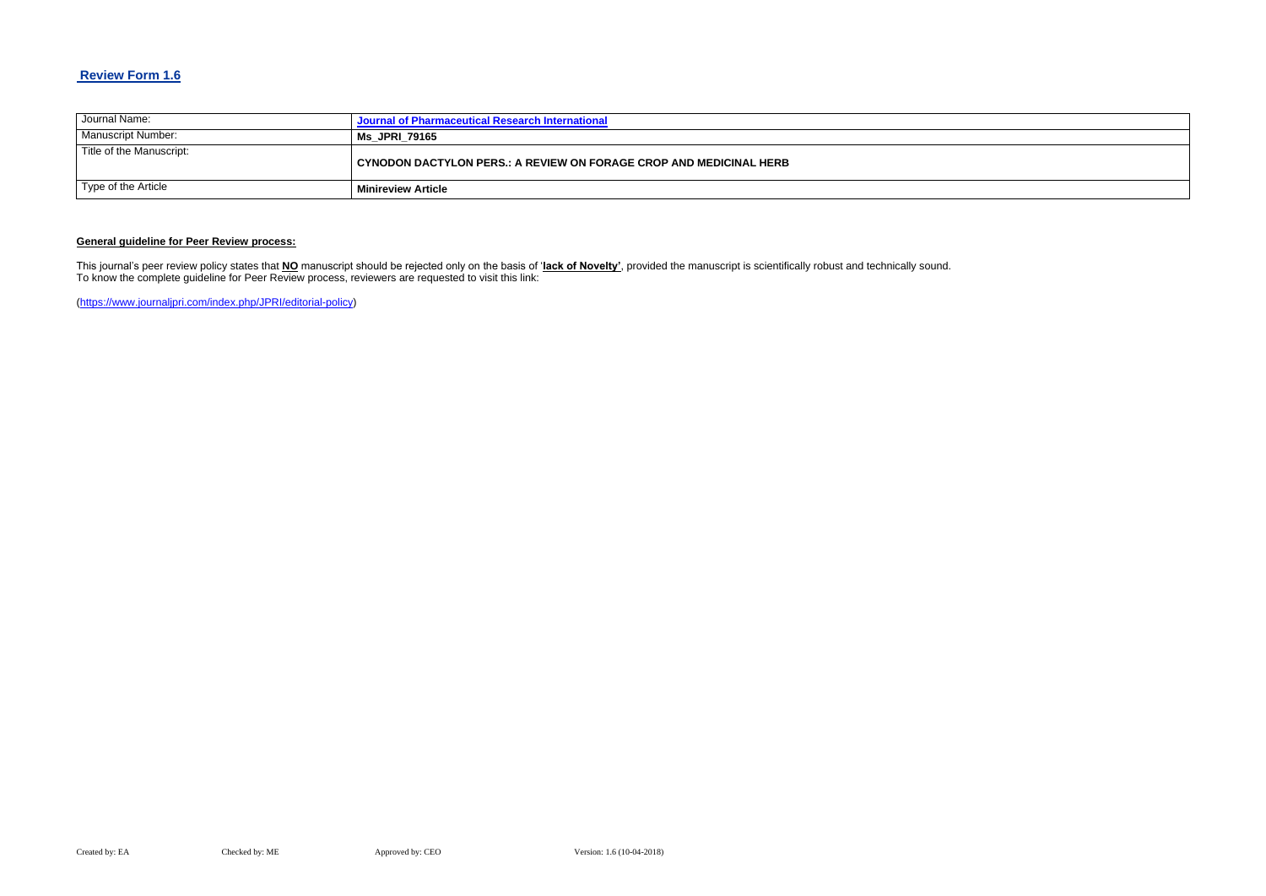### **Review Form 1.6**

| Journal Name:            | Journal of Pharmaceutical Research International                   |
|--------------------------|--------------------------------------------------------------------|
| Manuscript Number:       | <b>Ms JPRI 79165</b>                                               |
| Title of the Manuscript: | CYNODON DACTYLON PERS.: A REVIEW ON FORAGE CROP AND MEDICINAL HERB |
| Type of the Article      | <b>Minireview Article</b>                                          |

#### **General guideline for Peer Review process:**

This journal's peer review policy states that **NO** manuscript should be rejected only on the basis of '**lack of Novelty'**, provided the manuscript is scientifically robust and technically sound. To know the complete guideline for Peer Review process, reviewers are requested to visit this link:

[\(https://www.journaljpri.com/index.php/JPRI/editorial-policy\)](https://www.journaljpri.com/index.php/JPRI/editorial-policy)

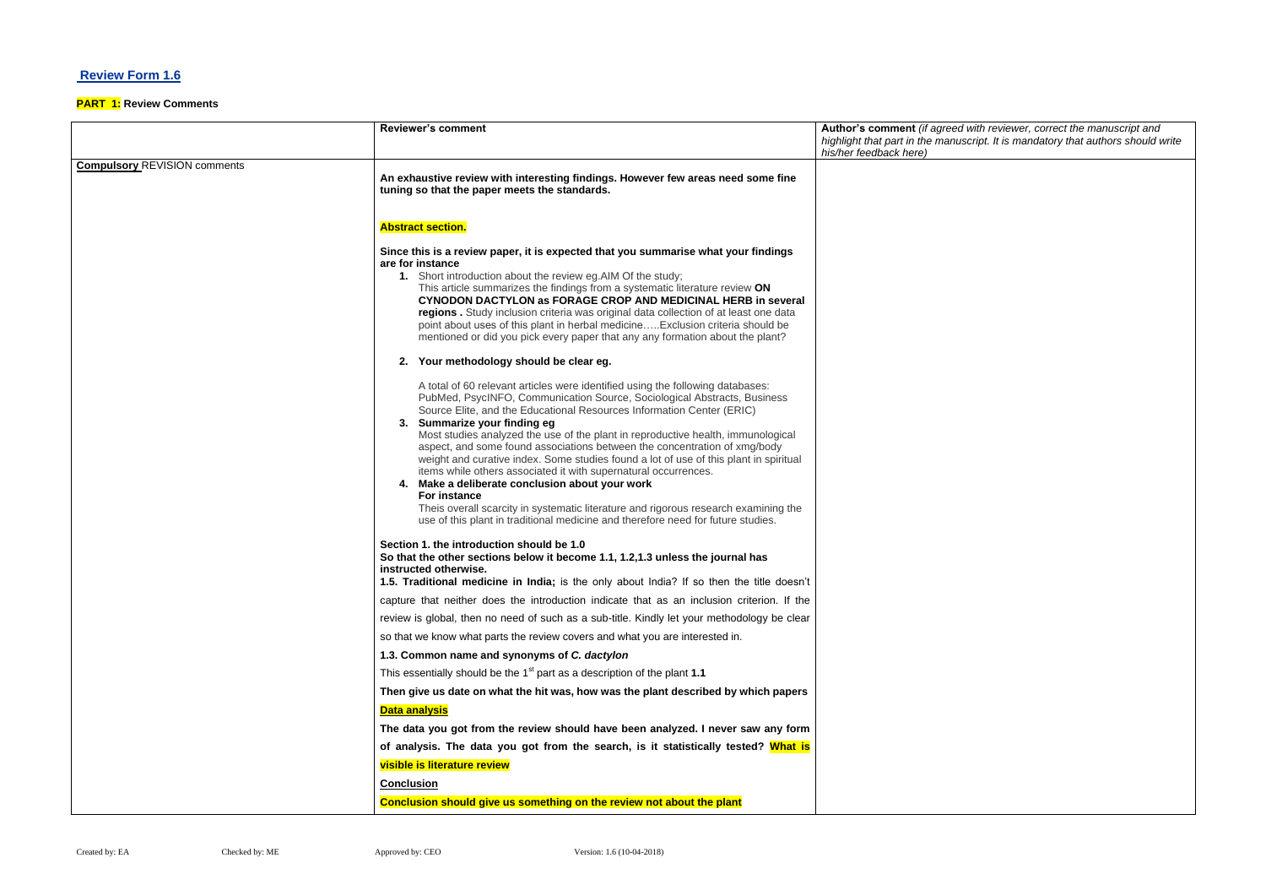## **Review Form 1.6**

### **PART 1: Review Comments**

# *highlight that part in the manuscript. It is mandatory that authors should write*

|                                     | <b>Reviewer's comment</b>                                                                                                                                                                                                                                                                                                                                                                                                                                                                                                                                                                                                                                                                                                                                                                                                                         | Author's comment (if agreed with reviewer, correct the manuscript and<br>highlight that part in the manuscript. It is mandatory that authors should i<br>his/her feedback here) |
|-------------------------------------|---------------------------------------------------------------------------------------------------------------------------------------------------------------------------------------------------------------------------------------------------------------------------------------------------------------------------------------------------------------------------------------------------------------------------------------------------------------------------------------------------------------------------------------------------------------------------------------------------------------------------------------------------------------------------------------------------------------------------------------------------------------------------------------------------------------------------------------------------|---------------------------------------------------------------------------------------------------------------------------------------------------------------------------------|
| <b>Compulsory REVISION comments</b> | An exhaustive review with interesting findings. However few areas need some fine<br>tuning so that the paper meets the standards.                                                                                                                                                                                                                                                                                                                                                                                                                                                                                                                                                                                                                                                                                                                 |                                                                                                                                                                                 |
|                                     | <b>Abstract section.</b>                                                                                                                                                                                                                                                                                                                                                                                                                                                                                                                                                                                                                                                                                                                                                                                                                          |                                                                                                                                                                                 |
|                                     | Since this is a review paper, it is expected that you summarise what your findings<br>are for instance<br>1. Short introduction about the review eg. AIM Of the study;<br>This article summarizes the findings from a systematic literature review ON<br><b>CYNODON DACTYLON as FORAGE CROP AND MEDICINAL HERB in several</b><br>regions . Study inclusion criteria was original data collection of at least one data<br>point about uses of this plant in herbal medicineExclusion criteria should be<br>mentioned or did you pick every paper that any any formation about the plant?                                                                                                                                                                                                                                                           |                                                                                                                                                                                 |
|                                     | 2. Your methodology should be clear eg.                                                                                                                                                                                                                                                                                                                                                                                                                                                                                                                                                                                                                                                                                                                                                                                                           |                                                                                                                                                                                 |
|                                     | A total of 60 relevant articles were identified using the following databases:<br>PubMed, PsycINFO, Communication Source, Sociological Abstracts, Business<br>Source Elite, and the Educational Resources Information Center (ERIC)<br>Summarize your finding eg<br>3.<br>Most studies analyzed the use of the plant in reproductive health, immunological<br>aspect, and some found associations between the concentration of xmg/body<br>weight and curative index. Some studies found a lot of use of this plant in spiritual<br>items while others associated it with supernatural occurrences.<br>4. Make a deliberate conclusion about your work<br>For instance<br>Theis overall scarcity in systematic literature and rigorous research examining the<br>use of this plant in traditional medicine and therefore need for future studies. |                                                                                                                                                                                 |
|                                     | Section 1. the introduction should be 1.0<br>So that the other sections below it become 1.1, 1.2,1.3 unless the journal has<br>instructed otherwise.<br>1.5. Traditional medicine in India; is the only about India? If so then the title doesn't                                                                                                                                                                                                                                                                                                                                                                                                                                                                                                                                                                                                 |                                                                                                                                                                                 |
|                                     | capture that neither does the introduction indicate that as an inclusion criterion. If the                                                                                                                                                                                                                                                                                                                                                                                                                                                                                                                                                                                                                                                                                                                                                        |                                                                                                                                                                                 |
|                                     | review is global, then no need of such as a sub-title. Kindly let your methodology be clear                                                                                                                                                                                                                                                                                                                                                                                                                                                                                                                                                                                                                                                                                                                                                       |                                                                                                                                                                                 |
|                                     | so that we know what parts the review covers and what you are interested in.                                                                                                                                                                                                                                                                                                                                                                                                                                                                                                                                                                                                                                                                                                                                                                      |                                                                                                                                                                                 |
|                                     | 1.3. Common name and synonyms of C. dactylon                                                                                                                                                                                                                                                                                                                                                                                                                                                                                                                                                                                                                                                                                                                                                                                                      |                                                                                                                                                                                 |
|                                     | This essentially should be the 1 <sup>st</sup> part as a description of the plant 1.1                                                                                                                                                                                                                                                                                                                                                                                                                                                                                                                                                                                                                                                                                                                                                             |                                                                                                                                                                                 |
|                                     | Then give us date on what the hit was, how was the plant described by which papers                                                                                                                                                                                                                                                                                                                                                                                                                                                                                                                                                                                                                                                                                                                                                                |                                                                                                                                                                                 |
|                                     | <b>Data analysis</b>                                                                                                                                                                                                                                                                                                                                                                                                                                                                                                                                                                                                                                                                                                                                                                                                                              |                                                                                                                                                                                 |
|                                     | The data you got from the review should have been analyzed. I never saw any form<br>of analysis. The data you got from the search, is it statistically tested? What is                                                                                                                                                                                                                                                                                                                                                                                                                                                                                                                                                                                                                                                                            |                                                                                                                                                                                 |
|                                     | visible is literature review                                                                                                                                                                                                                                                                                                                                                                                                                                                                                                                                                                                                                                                                                                                                                                                                                      |                                                                                                                                                                                 |
|                                     | <b>Conclusion</b>                                                                                                                                                                                                                                                                                                                                                                                                                                                                                                                                                                                                                                                                                                                                                                                                                                 |                                                                                                                                                                                 |
|                                     | Conclusion should give us something on the review not about the plant                                                                                                                                                                                                                                                                                                                                                                                                                                                                                                                                                                                                                                                                                                                                                                             |                                                                                                                                                                                 |